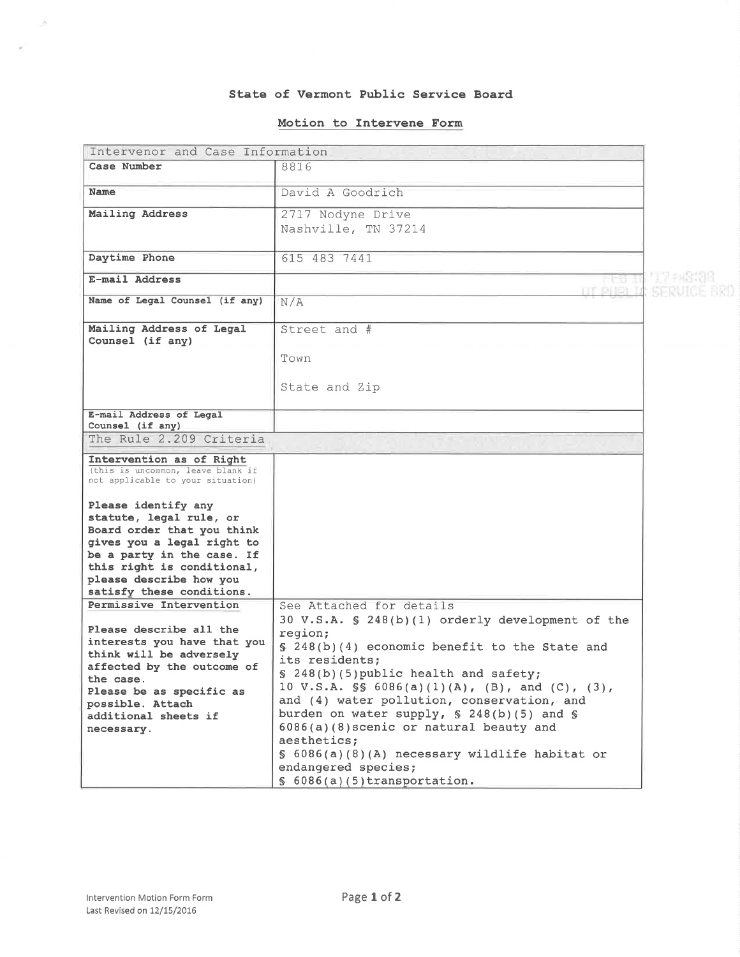### State of Vermont Pub1ic Service Board

### Motion to Intervene Form

| Intervenor and Case Information                                        |                                                                                               |  |
|------------------------------------------------------------------------|-----------------------------------------------------------------------------------------------|--|
| Case Number                                                            | 8816                                                                                          |  |
| Name                                                                   | David A Goodrich                                                                              |  |
| Mailing Address                                                        | 2717 Nodyne Drive                                                                             |  |
|                                                                        | Nashville, TN 37214                                                                           |  |
|                                                                        |                                                                                               |  |
| Daytime Phone                                                          | 615 483 7441                                                                                  |  |
| E-mail Address                                                         |                                                                                               |  |
|                                                                        | TIT BIJEN TI                                                                                  |  |
| Name of Legal Counsel (if any)                                         | N/A                                                                                           |  |
| Mailing Address of Legal<br>Counsel (if any)                           | Street and #                                                                                  |  |
|                                                                        | Town                                                                                          |  |
|                                                                        |                                                                                               |  |
|                                                                        | State and Zip                                                                                 |  |
|                                                                        |                                                                                               |  |
| E-mail Address of Legal<br>Counsel (if any)                            |                                                                                               |  |
| The Rule 2.209 Criteria                                                |                                                                                               |  |
| Intervention as of Right                                               |                                                                                               |  |
| (this is uncommon, leave blank if<br>not applicable to your situation) |                                                                                               |  |
| Please identify any                                                    |                                                                                               |  |
| statute, legal rule, or                                                |                                                                                               |  |
| Board order that you think                                             |                                                                                               |  |
| gives you a legal right to                                             |                                                                                               |  |
| be a party in the case. If<br>this right is conditional,               |                                                                                               |  |
| please describe how you                                                |                                                                                               |  |
| satisfy these conditions.                                              |                                                                                               |  |
| Permissive Intervention                                                | See Attached for details                                                                      |  |
|                                                                        | 30 V.S.A. § 248(b)(1) orderly development of the                                              |  |
| Please describe all the<br>interests you have that you                 | region;                                                                                       |  |
| think will be adversely                                                | § 248(b)(4) economic benefit to the State and                                                 |  |
| affected by the outcome of                                             | its residents;                                                                                |  |
| the case.                                                              | § 248(b)(5) public health and safety;                                                         |  |
| Please be as specific as                                               | 10 V.S.A. $\$ 6086(a)(1)(A), (B), and (C), (3),<br>and (4) water pollution, conservation, and |  |
| possible. Attach                                                       | burden on water supply, $\S$ 248(b)(5) and $\S$                                               |  |
| additional sheets if<br>necessary.                                     | 6086(a)(8) scenic or natural beauty and                                                       |  |
|                                                                        | aesthetics;                                                                                   |  |
|                                                                        | § 6086(a)(8)(A) necessary wildlife habitat or                                                 |  |
|                                                                        | endangered species;                                                                           |  |
|                                                                        | $$6086(a)(5)$ transportation.                                                                 |  |

 $\sim$ 

 $\overline{\nu}$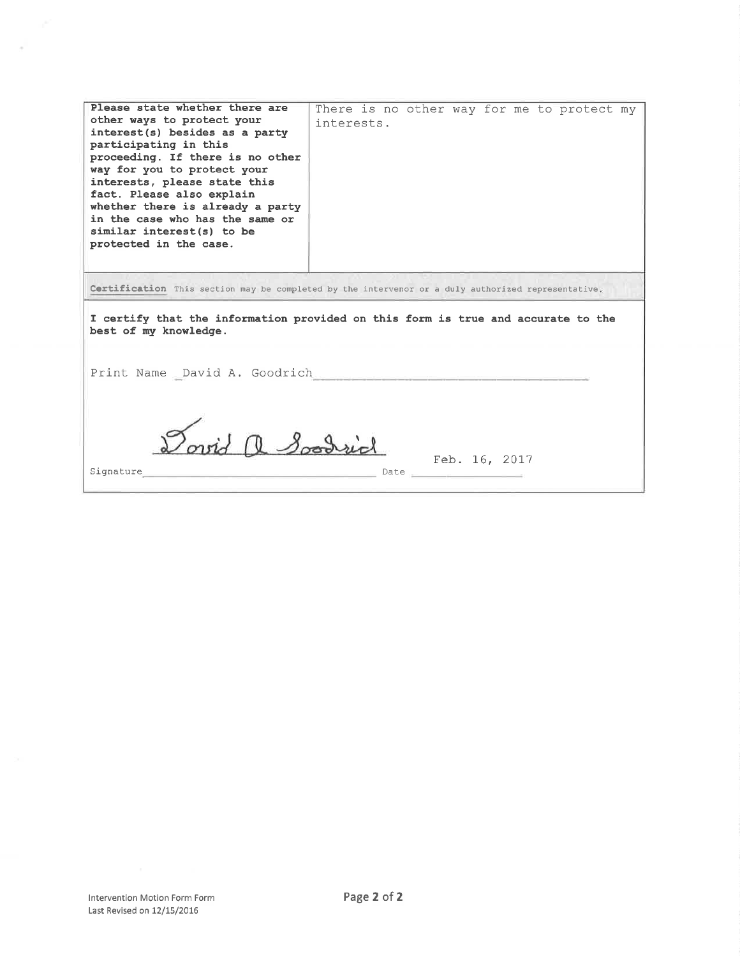| Please state whether there are<br>other ways to protect your<br>interest(s) besides as a party<br>participating in this<br>proceeding. If there is no other<br>way for you to protect your<br>interests, please state this<br>fact. Please also explain<br>whether there is already a party<br>in the case who has the same or<br>similar interest(s) to be<br>protected in the case. | There is no other way for me to protect my<br>interests. |  |  |
|---------------------------------------------------------------------------------------------------------------------------------------------------------------------------------------------------------------------------------------------------------------------------------------------------------------------------------------------------------------------------------------|----------------------------------------------------------|--|--|
| Certification This section may be completed by the intervenor or a duly authorized representative.<br>I certify that the information provided on this form is true and accurate to the<br>best of my knowledge.                                                                                                                                                                       |                                                          |  |  |
| Print Name David A. Goodrich<br>Dovid a Soodrid<br>Feb. 16, 2017                                                                                                                                                                                                                                                                                                                      |                                                          |  |  |
| Signature                                                                                                                                                                                                                                                                                                                                                                             |                                                          |  |  |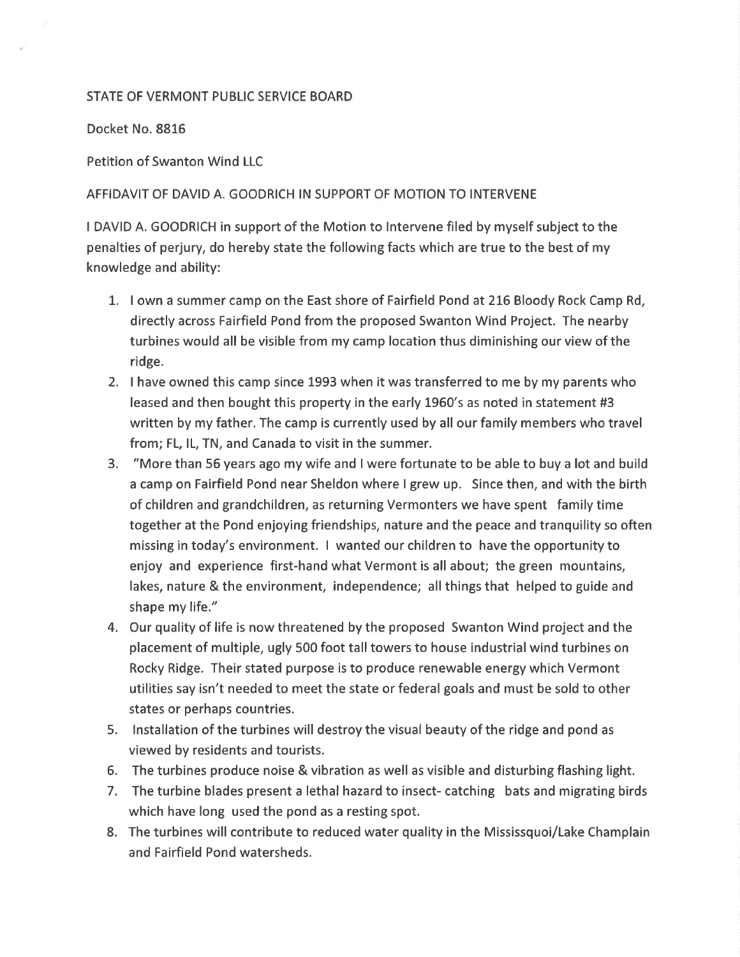# STATE OF VERMONT PUBLIC SERVICE BOARD

Docket No. 88L6

Petition of Swanton Wind LLC

## AFFIDAVIT OF DAVID A. GOODRICH IN SUPPORT OF MOTION TO INTERVENE

I DAVID A. GOODRICH in support of the Motion to lntervene filed by myself subject to the penalties of perjury, do hereby state the following facts which are true to the best of my knowledge and ability:

- 1. I own a summer camp on the East shore of Fairfield Pond at 216 Bloody Rock Camp Rd, directly across Fairfield Pond from the proposed Swanton Wind Project. The nearby turbines would all be visible from my camp location thus diminishing our view of the ridge.
- 2. I have owned this camp since 1993 when it was transferred to me by my parents who leased and then bought this property in the early L960's as noted in statement #3 written by my father. The camp is currently used by all our family members who travel from; FL, lL, TN, and Canada to visit in the summer.
- 3. "More than 56 years ago my wife and I were fortunate to be able to buy a lot and build a camp on Fairfield Pond near Sheldon where I grew up. Since then, and with the birth of children and grandchildren, as returning Vermonters we have spent family time together at the Pond enjoying friendships, nature and the peace and tranquility so often missing in today's environment. I wanted our children to have the opportunity to enjoy and experience first-hand what Vermont is all about; the green mountains, lakes, nature & the environment, independence; all things that helped to guide and shape my life."
- 4. Our quality of life is now threatened by the proposed Swanton Wind project and the placement of multiple, ugly 500 foot talltowers to house industrial wind turbines on Rocky Ridge. Their stated purpose is to produce renewable energy which Vermont utilities say isn't needed to meet the state or federal goals and must be sold to other states or perhaps countries.
- 5. lnstallation of the turbines will destroy the visual beauty of the ridge and pond as viewed by residents and tourists.
- 6. The turbines produce noise & vibration as well as visible and disturbing flashing light.
- 7. The turbine blades present a lethal hazard to insect- catching bats and migrating birds which have long used the pond as a resting spot.
- 8. The turbines will contribute to reduced water quality in the Mississquoi/Lake Champlain and Fairfield Pond watersheds.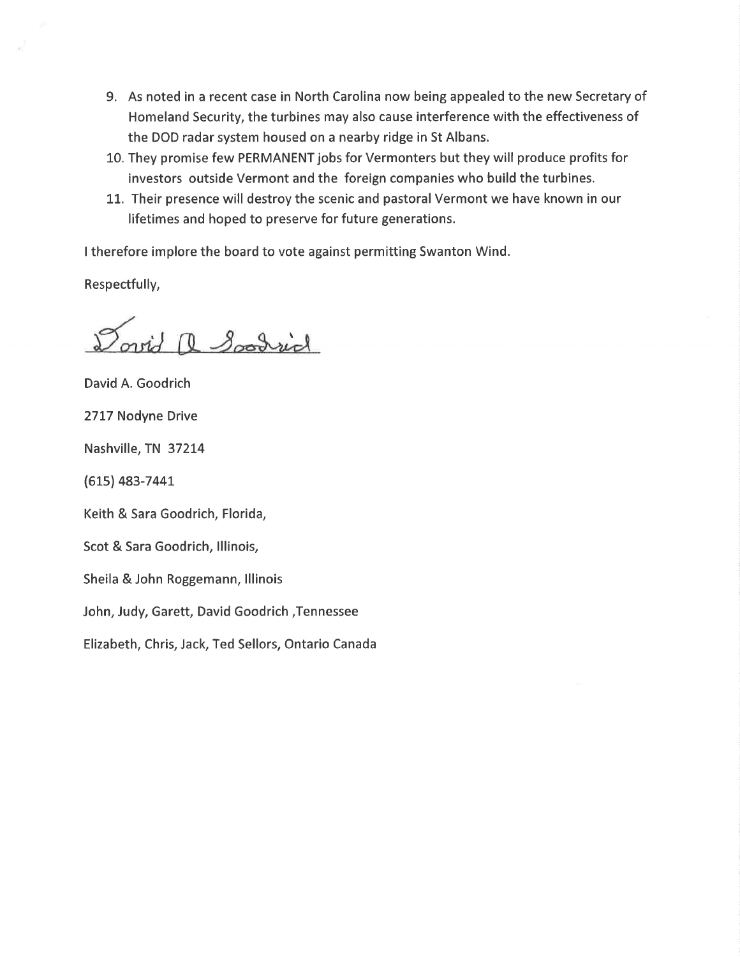- 9. As noted in a recent case in North Carolina now being appealed to the new Secretary of Homeland Security, the turbines may also cause interference with the effectiveness of the DOD radar system housed on a nearby ridge in St Albans.
- L0. They promise few PERMANENT jobs for Vermonters but they will produce profits for investors outside Vermont and the foreign companies who build the turbines.
- 11. Their presence will destroy the scenic and pastoral Vermont we have known in our lifetimes and hoped to preserve for future generations.

<sup>I</sup>therefore implore the board to vote against permitting Swanton Wind.

Respectfully,

Dovid a Soodrid

David A. Goodrich 2717 Nodyne Drive Nashville, TN 372L4 (615) 483-7441 Keith & Sara Goodrich, Florida, Scot & Sara Goodrich, lllinois, Sheila & John Roggemann, lllinois John, Judy, Garett, David Goodrich ,Tennessee

Elizabeth, Chris, Jack, Ted Sellors, Ontario Canada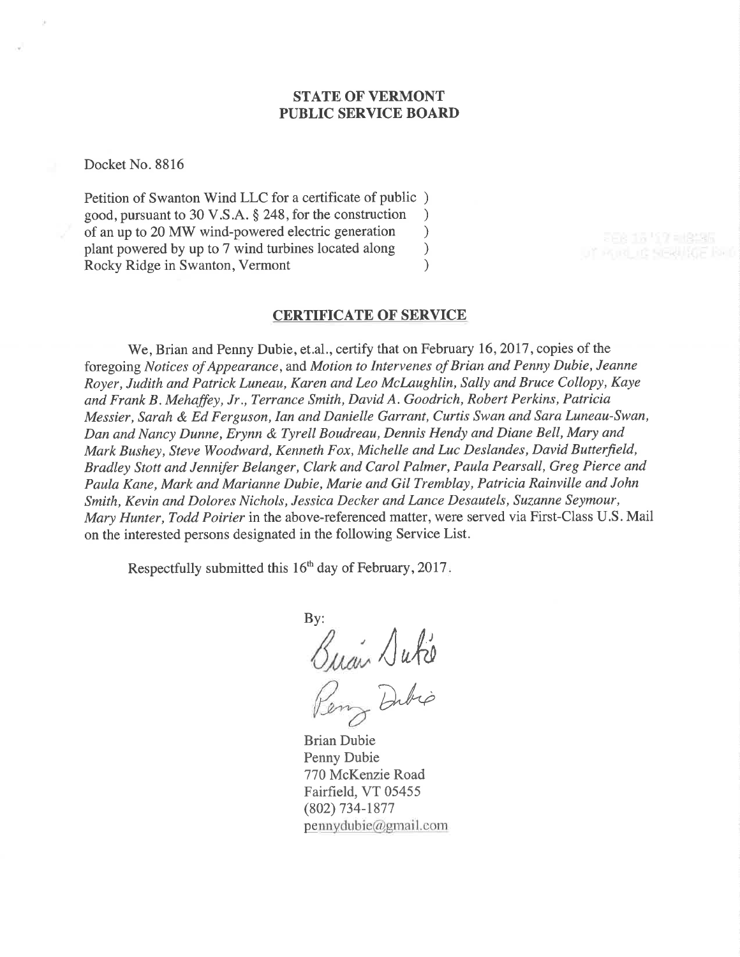# STATE OF VERMONT PUBLIC SERVICE BOARD

Docket No. 8816

Petition of Swanton Wind LLC for a certificate of public ) good, pursuant to 30 V.S.A. \$ 248, for the construction ) of an up to 20 MW wind-powered electric generation <br>plant powered by up to 7 wind turbines located along  $)$ plant powered by up to 7 wind turbines located along <br>
Rocky Ridge in Swanton, Vermont (a) Rocky Ridge in Swanton, Vermont )

### CERTIFICATE OF SERVICE

We, Brian and Penny Dubie, et.al., certify that on February 16, 2017, copies of the foregoing Notices of Appearance, and Motion to Intervenes of Brian and Penny Dubie, Jeanne Royer, Judith and Patrick Luneau, Karen and Leo Mclaughlin, Sally and Bruce Collopy, Kaye and Frank B. Mehaffey, Jr., Terrance Smith, David A. Goodrich, Robert Perkins, Patricia Messier, Sarah & Ed Ferguson, Ian and Danielle Garrant, Curtis Swan and Sara Luneau-Swan, Dan and Nancy Dunne, Erynn & Tyrell Boudreau, Dennis Hendy and Diane Bell, Mary and Mark Bushey, Steve Woodward, Kenneth Fox, Michelle and Luc Deslandes, David Butterfield, Bradley Stott and Jennifer Belanger, Clark and Carol Palmer, Paula Pearsall, Greg Pierce and Paula Kane, Mark and Marianne Dubie, Marie and Gil Tremblay, Patricia Rainville and John Smith, Kevin and Dolores Nichols, Jessica Decker and Lance Desautels, Suzanne Seymour, Mary Hunter, Todd Poirier in the above-referenced matter, were served via First-Class U.S. Mail on the interested persons designated in the following Service List.

Respectfully submitted this  $16<sup>th</sup>$  day of February, 2017.

By:  $\sqrt{abc}$ Dibio

Brian Dubie Penny Dubie 770 McKenzie Road Fairfield, VT 05455 (802) 734-1877 pennydubie@gmail.com